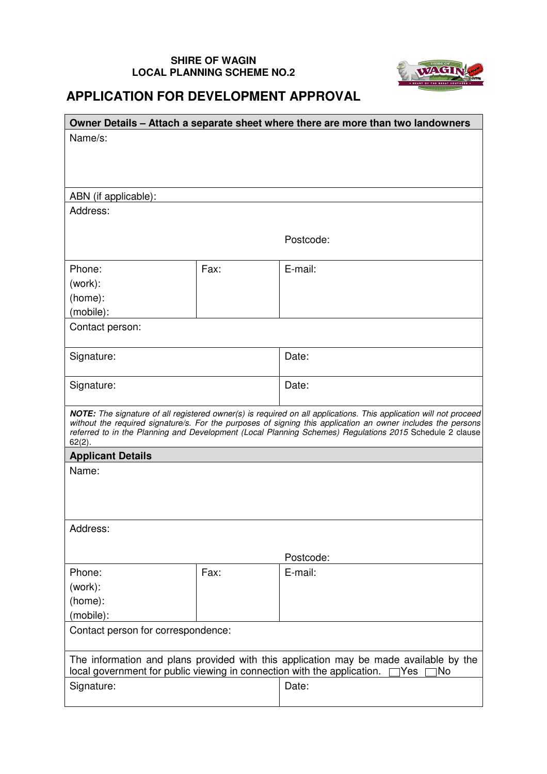## **SHIRE OF WAGIN LOCAL PLANNING SCHEME NO.2**



## **APPLICATION FOR DEVELOPMENT APPROVAL**

| Owner Details - Attach a separate sheet where there are more than two landowners                                                                                               |      |                                                                                                                                                                                                                         |  |  |  |  |
|--------------------------------------------------------------------------------------------------------------------------------------------------------------------------------|------|-------------------------------------------------------------------------------------------------------------------------------------------------------------------------------------------------------------------------|--|--|--|--|
| Name/s:                                                                                                                                                                        |      |                                                                                                                                                                                                                         |  |  |  |  |
|                                                                                                                                                                                |      |                                                                                                                                                                                                                         |  |  |  |  |
|                                                                                                                                                                                |      |                                                                                                                                                                                                                         |  |  |  |  |
| ABN (if applicable):                                                                                                                                                           |      |                                                                                                                                                                                                                         |  |  |  |  |
| Address:                                                                                                                                                                       |      |                                                                                                                                                                                                                         |  |  |  |  |
|                                                                                                                                                                                |      |                                                                                                                                                                                                                         |  |  |  |  |
|                                                                                                                                                                                |      | Postcode:                                                                                                                                                                                                               |  |  |  |  |
| Phone:                                                                                                                                                                         | Fax: | E-mail:                                                                                                                                                                                                                 |  |  |  |  |
|                                                                                                                                                                                |      |                                                                                                                                                                                                                         |  |  |  |  |
| (work):<br>(home):                                                                                                                                                             |      |                                                                                                                                                                                                                         |  |  |  |  |
| (mobile):                                                                                                                                                                      |      |                                                                                                                                                                                                                         |  |  |  |  |
| Contact person:                                                                                                                                                                |      |                                                                                                                                                                                                                         |  |  |  |  |
|                                                                                                                                                                                |      |                                                                                                                                                                                                                         |  |  |  |  |
| Signature:                                                                                                                                                                     |      | Date:                                                                                                                                                                                                                   |  |  |  |  |
|                                                                                                                                                                                |      |                                                                                                                                                                                                                         |  |  |  |  |
| Signature:                                                                                                                                                                     |      | Date:                                                                                                                                                                                                                   |  |  |  |  |
|                                                                                                                                                                                |      |                                                                                                                                                                                                                         |  |  |  |  |
|                                                                                                                                                                                |      | NOTE: The signature of all registered owner(s) is required on all applications. This application will not proceed                                                                                                       |  |  |  |  |
|                                                                                                                                                                                |      | without the required signature/s. For the purposes of signing this application an owner includes the persons<br>referred to in the Planning and Development (Local Planning Schemes) Regulations 2015 Schedule 2 clause |  |  |  |  |
| $62(2)$ .                                                                                                                                                                      |      |                                                                                                                                                                                                                         |  |  |  |  |
| <b>Applicant Details</b>                                                                                                                                                       |      |                                                                                                                                                                                                                         |  |  |  |  |
| Name:                                                                                                                                                                          |      |                                                                                                                                                                                                                         |  |  |  |  |
|                                                                                                                                                                                |      |                                                                                                                                                                                                                         |  |  |  |  |
|                                                                                                                                                                                |      |                                                                                                                                                                                                                         |  |  |  |  |
| Address:                                                                                                                                                                       |      |                                                                                                                                                                                                                         |  |  |  |  |
|                                                                                                                                                                                |      |                                                                                                                                                                                                                         |  |  |  |  |
|                                                                                                                                                                                |      | Postcode:                                                                                                                                                                                                               |  |  |  |  |
| Phone:                                                                                                                                                                         | Fax: | E-mail:                                                                                                                                                                                                                 |  |  |  |  |
| (work):                                                                                                                                                                        |      |                                                                                                                                                                                                                         |  |  |  |  |
| (home):                                                                                                                                                                        |      |                                                                                                                                                                                                                         |  |  |  |  |
| (mobile):                                                                                                                                                                      |      |                                                                                                                                                                                                                         |  |  |  |  |
| Contact person for correspondence:                                                                                                                                             |      |                                                                                                                                                                                                                         |  |  |  |  |
|                                                                                                                                                                                |      |                                                                                                                                                                                                                         |  |  |  |  |
| The information and plans provided with this application may be made available by the<br>local government for public viewing in connection with the application.<br>1No<br>Yes |      |                                                                                                                                                                                                                         |  |  |  |  |
| Signature:                                                                                                                                                                     |      | Date:                                                                                                                                                                                                                   |  |  |  |  |
|                                                                                                                                                                                |      |                                                                                                                                                                                                                         |  |  |  |  |